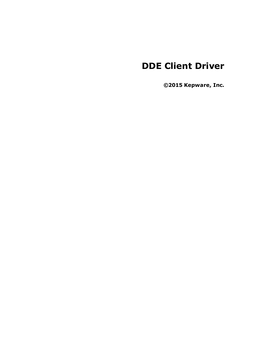# **DDE Client Driver**

**©2015 Kepware, Inc.**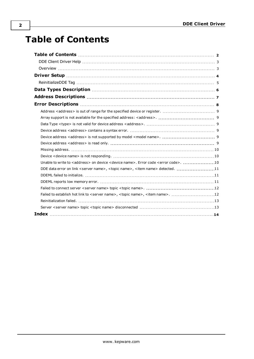# <span id="page-1-0"></span>**Table of Contents**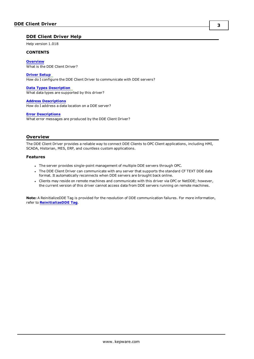#### <span id="page-2-0"></span>**DDE Client Driver Help**

Help version 1.018

#### **CONTENTS**

**[Overview](#page-2-1)** What is the DDE Client Driver?

#### **[Driver](#page-3-0) Setup**

How do I configure the DDE Client Driver to communicate with DDE servers?

#### **Data Types [Description](#page-5-0)**

What data types are supported by this driver?

#### **Address [Descriptions](#page-6-0)** How do I address a data location on a DDE server?

#### **Error [Descriptions](#page-7-0)**

What error messages are produced by the DDE Client Driver?

#### <span id="page-2-1"></span>**Overview**

The DDE Client Driver provides a reliable way to connect DDE Clients to OPC Client applications, including HMI, SCADA, Historian, MES, ERP, and countless custom applications.

#### **Features**

- The server provides single-point management of multiple DDE servers through OPC.
- The DDE Client Driver can communicate with any server that supports the standard CF TEXT DDE data format. It automatically reconnects when DDE servers are brought back online.
- Clients may reside on remote machines and communicate with this driver via OPC or NetDDE; however, the current version of this driver cannot access data from DDE servers running on remote machines.

**Note:** A ReinitializeDDE Tag is provided for the resolution of DDE communication failures. For more information, refer to **[ReinitializeDDE](#page-4-0) Tag**.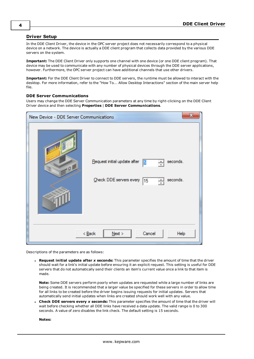### <span id="page-3-0"></span>**Driver Setup**

In the DDE Client Driver, the device in the OPC server project does not necessarily correspond to a physical device on a network. The device is actually a DDE client program that collects data provided by the various DDE servers on the system.

**Important:** The DDE Client Driver only supports one channel with one device (or one DDE client program). That device may be used to communicate with any number of physical devices through the DDE server applications, however. Furthermore, the OPC server project can have additional channels that use other drivers.

**Important:** For the DDE Client Driver to connect to DDE servers, the runtime must be allowed to interact with the desktop. For more information, refer to the "How To... Allow Desktop Interactions" section of the main server help file.

#### **DDE Server Communications**

Users may change the DDE Server Communication parameters at any time by right-clicking on the DDE Client Driver device and then selecting **Properties** | **DDE Server Communications**.

| $\mathbf{x}$<br>New Device - DDE Server Communications |                                                                                                      |  |
|--------------------------------------------------------|------------------------------------------------------------------------------------------------------|--|
| $-0$                                                   | seconds.<br>Request initial update after<br>5<br>÷<br>Check DDE servers every<br>seconds.<br>15<br>킄 |  |
| Cancel<br>$<$ Back<br>$N$ ext ><br>Help                |                                                                                                      |  |

Descriptions of the parameters are as follows:

<sup>l</sup> **Request initial update after** *x* **seconds:** This parameter specifies the amount of time that the driver should wait for a link's initial update before ensuring it an explicit request. This setting is useful for DDE servers that do not automatically send their clients an item's current value once a link to that item is made.

**Note:** Some DDE servers perform poorly when updates are requested while a large number of links are being created. It is recommended that a larger value be specified for these servers in order to allow time for all links to be created before the driver begins issuing requests for initial updates. Servers that automatically send initial updates when links are created should work well with any value.

<sup>l</sup> **Check DDE servers every** *x* **seconds:** This parameter specifies the amount of time that the driver will wait before checking whether all DDE links have received a data update. The valid range is 0 to 300 seconds. A value of zero disables the link check. The default setting is 15 seconds.

**Notes:**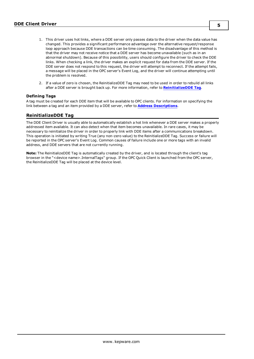- 1. This driver uses hot links, where a DDE server only passes data to the driver when the data value has changed. This provides a significant performance advantage over the alternative request/response loop approach because DDE transactions can be time consuming. The disadvantage of this method is that the driver may not receive notice that a DDE server has become unavailable (such as in an abnormal shutdown). Because of this possibility, users should configure the driver to check the DDE links. When checking a link, the driver makes an explicit request for data from the DDE server. If the DDE server does not respond to this request, the driver will attempt to reconnect. If the attempt fails, a message will be placed in the OPC server's Event Log, and the driver will continue attempting until the problem is resolved.
- 2. If a value of zero is chosen, the ReinitializeDDE Tag may need to be used in order to rebuild all links after a DDE server is brought back up. For more information, refer to **[ReinitializeDDE](#page-4-0) Tag**.

#### **Defining Tags**

A tag must be created for each DDE item that will be available to OPC clients. For information on specifying the link between a tag and an item provided by a DDE server, refer to **Address [Descriptions](#page-6-0)**.

#### <span id="page-4-0"></span>**ReinitializeDDE Tag**

The DDE Client Driver is usually able to automatically establish a hot link whenever a DDE server makes a properly addressed item available. It can also detect when that item becomes unavailable. In rare cases, it may be necessary to reinitialize the driver in order to properly link with DDE items after a communications breakdown. This operation is initiated by writing True (any non-zero value) to the ReinitializeDDE Tag. Success or failure will be reported in the OPC server's Event Log. Common causes of failure include one or more tags with an invalid address, and DDE servers that are not currently running.

**Note:** The ReinitializeDDE Tag is automatically created by the driver, and is located through the client's tag browser in the "<device name>.InternalTags" group. If the OPC Quick Client is launched from the OPC server, the ReinitializeDDE Tag will be placed at the device level.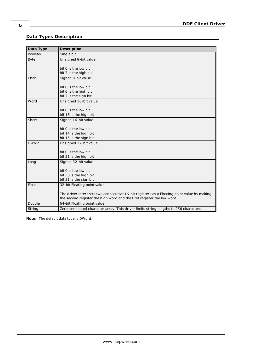## <span id="page-5-0"></span>**Data Types Description**

<span id="page-5-7"></span><span id="page-5-5"></span><span id="page-5-1"></span>

| <b>Data Type</b> | <b>Description</b>                                                                         |
|------------------|--------------------------------------------------------------------------------------------|
| <b>Boolean</b>   | Single bit                                                                                 |
| <b>Byte</b>      | Unsigned 8-bit value                                                                       |
|                  | bit 0 is the low bit                                                                       |
|                  | bit 7 is the high bit                                                                      |
| Char             | Signed 8-bit value                                                                         |
|                  | bit 0 is the low bit                                                                       |
|                  | bit 6 is the high bit                                                                      |
|                  | bit 7 is the sign bit                                                                      |
| Word             | Unsigned 16-bit value                                                                      |
|                  | bit 0 is the low bit                                                                       |
|                  | bit 15 is the high bit                                                                     |
| Short            | Signed 16-bit value                                                                        |
|                  | bit 0 is the low bit                                                                       |
|                  | bit 14 is the high bit                                                                     |
|                  | bit 15 is the sign bit                                                                     |
| <b>DWord</b>     | Unsigned 32-bit value                                                                      |
|                  |                                                                                            |
|                  | bit 0 is the low bit                                                                       |
|                  | bit 31 is the high bit                                                                     |
| Long             | Signed 32-bit value                                                                        |
|                  | bit 0 is the low bit                                                                       |
|                  | bit 30 is the high bit                                                                     |
|                  | bit 31 is the sign bit                                                                     |
| Float            | 32-bit Floating point value.                                                               |
|                  | The driver interprets two consecutive 16-bit registers as a Floating point value by making |
|                  | the second register the high word and the first register the low word.                     |
| Double           | 64-bit Floating point value                                                                |
| String           | Zero terminated character array. This driver limits string lengths to 256 characters.      |

<span id="page-5-6"></span><span id="page-5-4"></span><span id="page-5-3"></span><span id="page-5-2"></span>**Note:** The default data type is DWord.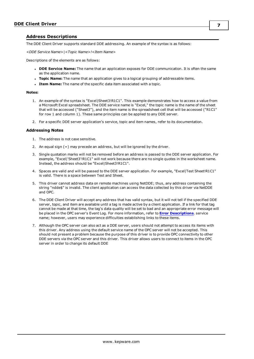#### <span id="page-6-0"></span>**Address Descriptions**

The DDE Client Driver supports standard DDE addressing. An example of the syntax is as follows:

*<DDE Service Name>|<Topic Name>!<Item Name>*

Descriptions of the elements are as follows:

- <sup>l</sup> **DDE Service Name:** The name that an application exposes for DDE communication. It is often the same as the application name.
- **· Topic Name:** The name that an application gives to a logical grouping of addressable items.
- **.** Item Name: The name of the specific data item associated with a topic.

#### **Notes:**

- 1. An example of the syntax is "Excel|Sheet3!R1C1". This example demonstrates how to access a value from a Microsoft Excel spreadsheet. The DDE service name is "Excel," the topic name is the name of the sheet that will be accessed ("Sheet3"), and the item name is the spreadsheet cell that will be accessed ("R1C1" for row 1 and column 1). These same principles can be applied to any DDE server.
- 2. For a specific DDE server application's service, topic and item names, refer to its documentation.

#### **Addressing Notes**

- 1. The address is not case sensitive.
- 2. An equal sign (=) may precede an address, but will be ignored by the driver.
- 3. Single quotation marks will not be removed before an address is passed to the DDE server application. For example, "Excel|'Sheet3'!R1C1" will not work because there are no single quotes in the worksheet name. Instead, the address should be "Excel|Sheet3!R1C1".
- 4. Spaces are valid and will be passed to the DDE server application. For example, "Excel|Test Sheet!R1C1" is valid. There is a space between Test and Sheet.
- 5. This driver cannot address data on remote machines using NetDDE; thus, any address containing the string "ndde\$" is invalid. The client application can access the data collected by this driver via NetDDE and OPC.
- 6. The DDE Client Driver will accept any address that has valid syntax, but it will not tell if the specified DDE server, topic, and item are available until a tag is made active by a client application. If a link for that tag cannot be made at that time, the tag's data quality will be set to bad and an appropriate error message will be placed in the OPC server's Event Log. For more information, refer to **Error [Descriptions](#page-7-0)**. service name; however, users may experience difficulties establishing links to these items.
- 7. Although the OPC server can also act as a DDE server, users should not attempt to access its items with this driver. Any address using the default service name of the OPC server will not be accepted. This should not present a problem because the purpose of this driver is to provide OPC connectivity to other DDE servers via the OPC server and this driver. This driver allows users to connect to items in the OPC server in order to change its default DDE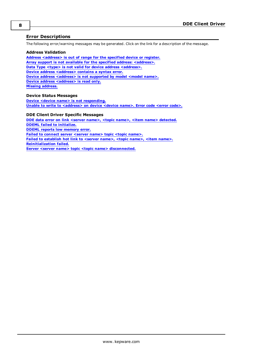### <span id="page-7-0"></span>**Error Descriptions**

The following error/warning messages may be generated. Click on the link for a description of the message.

#### **Address Validation**

**Address [<address>](#page-8-0) is out of range for the specified device or register. Array support is not available for the specified address: [<address>.](#page-8-1) Data Type <type> is not valid for device address [<address>.](#page-8-2) Device address [<address>](#page-8-3) contains a syntax error. Device address [<address>](#page-8-4) is not supported by model <model name>. Device address [<address>](#page-8-5)** is read only. **Missing [address.](#page-9-0)**

#### **Device Status Messages**

**Device <device name> is not [responding.](#page-9-1) Unable to write to [<address>](#page-9-2) on device <device name>. Error code <error code>.**

#### **DDE Client Driver Specific Messages**

**DDE data error on link <server name>, <topic name>, <item name> [detected.](#page-10-0) DDEML failed to [initialize.](#page-10-1) DDEML reports low [memory](#page-10-2) error. Failed to [connect](#page-11-0) server <server name> topic <topic name>. Failed to [establish](#page-11-1) hot link to <server name>, <topic name>, <item name>. [Reinitialization](#page-12-0) failed. Server <server name> topic <topic name> [disconnected.](#page-12-1)**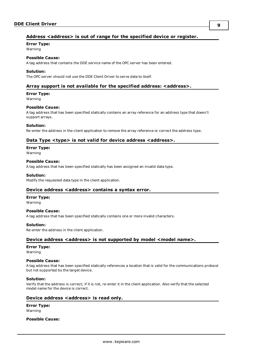### <span id="page-8-0"></span>**Address <address> is out of range for the specified device or register.**

### **Error Type:**

Warning

## **Possible Cause:**

A tag address that contains the DDE service name of the OPC server has been entered.

#### **Solution:**

<span id="page-8-1"></span>The OPC server should not use the DDE Client Driver to serve data to itself.

#### **Array support is not available for the specified address: <address>.**

#### **Error Type:**

Warning

#### **Possible Cause:**

A tag address that has been specified statically contains an array reference for an address type that doesn't support arrays.

#### **Solution:**

<span id="page-8-2"></span>Re-enter the address in the client application to remove the array reference or correct the address type.

#### **Data Type <type> is not valid for device address <address>.**

#### **Error Type:**

Warning

#### **Possible Cause:**

A tag address that has been specified statically has been assigned an invalid data type.

#### **Solution:**

<span id="page-8-3"></span>Modify the requested data type in the client application.

#### **Device address <address> contains a syntax error.**

#### **Error Type:**

Warning

#### **Possible Cause:**

A tag address that has been specified statically contains one or more invalid characters.

#### **Solution:**

<span id="page-8-4"></span>Re-enter the address in the client application.

### **Device address <address> is not supported by model <model name>.**

#### **Error Type:**

Warning

#### **Possible Cause:**

A tag address that has been specified statically references a location that is valid for the communications protocol but not supported by the target device.

#### **Solution:**

Verify that the address is correct; if it is not, re-enter it in the client application. Also verify that the selected model name for the device is correct.

#### <span id="page-8-5"></span>**Device address <address> is read only.**

#### **Error Type:** Warning

#### **Possible Cause:**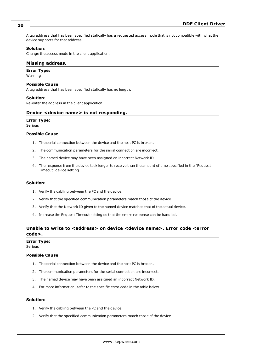A tag address that has been specified statically has a requested access mode that is not compatible with what the device supports for that address.

#### **Solution:**

<span id="page-9-0"></span>Change the access mode in the client application.

#### **Missing address.**

**Error Type:**

Warning

#### **Possible Cause:**

A tag address that has been specified statically has no length.

#### **Solution:**

<span id="page-9-1"></span>Re-enter the address in the client application.

#### **Device <device name> is not responding.**

#### **Error Type:**

Serious

#### **Possible Cause:**

- 1. The serial connection between the device and the host PC is broken.
- 2. The communication parameters for the serial connection are incorrect.
- 3. The named device may have been assigned an incorrect Network ID.
- 4. The response from the device took longer to receive than the amount of time specified in the "Request Timeout" device setting.

#### **Solution:**

- 1. Verify the cabling between the PC and the device.
- 2. Verify that the specified communication parameters match those of the device.
- 3. Verify that the Network ID given to the named device matches that of the actual device.
- 4. Increase the Request Timeout setting so that the entire response can be handled.

### <span id="page-9-2"></span>**Unable to write to <address> on device <device name>. Error code <error code>.**

#### **Error Type:**

Serious

#### **Possible Cause:**

- 1. The serial connection between the device and the host PC is broken.
- 2. The communication parameters for the serial connection are incorrect.
- 3. The named device may have been assigned an incorrect Network ID.
- 4. For more information, refer to the specific error code in the table below.

#### **Solution:**

- 1. Verify the cabling between the PC and the device.
- 2. Verify that the specified communication parameters match those of the device.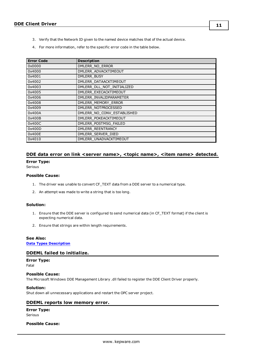- 3. Verify that the Network ID given to the named device matches that of the actual device.
- 4. For more information, refer to the specific error code in the table below.

| <b>Error Code</b> | <b>Description</b>         |
|-------------------|----------------------------|
| 0x0000            | DMLERR NO ERROR            |
| 0x4000            | DMLERR ADVACKTIMEOUT       |
| 0x4001            | DMLERR BUSY                |
| 0x4002            | DMLERR DATAACKTIMEOUT      |
| 0x4003            | DMLERR DLL NOT INITIALIZED |
| 0x4005            | DMLERR EXECACKTIMEOUT      |
| 0x4006            | DMLERR INVALIDPARAMETER    |
| 0x4008            | DMLERR MEMORY ERROR        |
| 0x4009            | DMLERR NOTPROCESSED        |
| 0x400A            | DMLERR_NO_CONV_ESTABLISHED |
| 0x400B            | DMLERR POKEACKTIMEOUT      |
| 0x400C            | DMLERR POSTMSG FAILED      |
| 0x400D            | DMLERR REENTRANCY          |
| 0x400E            | DMLERR SERVER DIED         |
| 0x4010            | DMLERR UNADVACKTIMEOUT     |

#### <span id="page-10-0"></span>**DDE data error on link <server name>, <topic name>, <item name> detected.**

#### **Error Type:**

Serious

#### **Possible Cause:**

- 1. The driver was unable to convert CF\_TEXT data from a DDE server to a numerical type.
- 2. An attempt was made to write a string that is too long.

#### **Solution:**

- 1. Ensure that the DDE server is configured to send numerical data (in CF\_TEXT format) if the client is expecting numerical data.
- 2. Ensure that strings are within length requirements.

### **See Also:**

<span id="page-10-1"></span>**Data Types [Description](#page-5-0)**

#### **DDEML failed to initialize.**

## **Error Type:**

Fatal

### **Possible Cause:**

The Microsoft Windows DDE Management Library .dll failed to register the DDE Client Driver properly.

#### **Solution:**

<span id="page-10-2"></span>Shut down all unnecessary applications and restart the OPC server project.

#### **DDEML reports low memory error.**

#### **Error Type:** Serious

#### **Possible Cause:**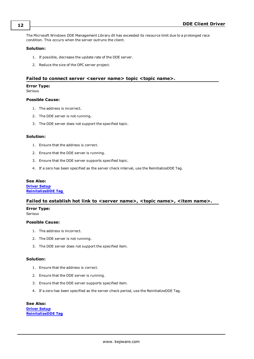The Microsoft Windows DDE Management Library dll has exceeded its resource limit due to a prolonged race condition. This occurs when the server outruns the client.

#### **Solution:**

- 1. If possible, decrease the update rate of the DDE server.
- 2. Reduce the size of the OPC server project.

#### <span id="page-11-0"></span>**Failed to connect server <server name> topic <topic name>.**

#### **Error Type:**

Serious

#### **Possible Cause:**

- 1. The address is incorrect.
- 2. The DDE server is not running.
- 3. The DDE server does not support the specified topic.

#### **Solution:**

- 1. Ensure that the address is correct.
- 2. Ensure that the DDE server is running.
- 3. Ensure that the DDE server supports specified topic.
- 4. If a zero has been specified as the server check interval, use the ReinitializeDDE Tag.

#### **See Also:**

**[Driver](#page-3-0) Setup [ReinitalizeDDE](#page-4-0) Tag**

#### <span id="page-11-1"></span>**Failed to establish hot link to <server name>, <topic name>, <item name>.**

**Error Type:**

### Serious

#### **Possible Cause:**

- 1. The address is incorrect.
- 2. The DDE server is not running.
- 3. The DDE server does not support the specified item.

#### **Solution:**

- 1. Ensure that the address is correct.
- 2. Ensure that the DDE server is running.
- 3. Ensure that the DDE server supports specified item.
- 4. If a zero has been specified as the server check period, use the ReinitializeDDE Tag.

**See Also: [Driver](#page-3-0) Setup [ReinitalizeDDE](#page-4-0) Tag**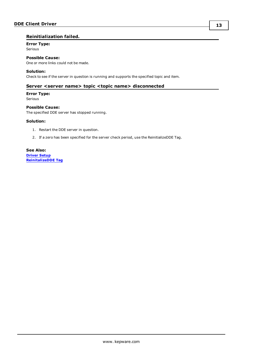### <span id="page-12-0"></span>**Reinitialization failed.**

## **Error Type:**

Serious

**Possible Cause:**

One or more links could not be made.

#### **Solution:**

<span id="page-12-1"></span>Check to see if the server in question is running and supports the specified topic and item.

#### **Server <server name> topic <topic name> disconnected**

#### **Error Type:**

Serious

#### **Possible Cause:**

The specified DDE server has stopped running.

#### **Solution:**

- 1. Restart the DDE server in question.
- 2. If a zero has been specified for the server check period, use the ReinitializeDDE Tag.

**See Also: [Driver](#page-3-0) Setup [ReinitalizeDDE](#page-4-0) Tag**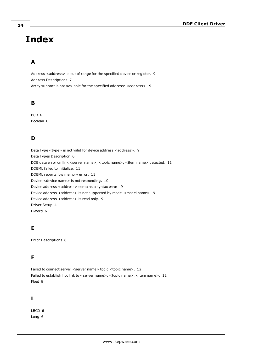# <span id="page-13-0"></span>**Index**

## **A**

Address <address> is out of range for the specified device or register. [9](#page-8-0) Address Descriptions [7](#page-6-0) Array support is not available for the specified address: <address>. [9](#page-8-1)

## **B**

BCD [6](#page-5-0) Boolean [6](#page-5-1)

## **D**

Data Type <type> is not valid for device address <address>. [9](#page-8-2) Data Types Description [6](#page-5-0) DDE data error on link <server name>, <topic name>, <item name> detected. [11](#page-10-0) DDEML failed to initialize. [11](#page-10-1) DDEML reports low memory error. [11](#page-10-2) Device <device name> is not responding. [10](#page-9-1) Device address <address> contains a syntax error. [9](#page-8-3) Device address <address> is not supported by model <model name>. [9](#page-8-4) Device address <address> is read only. [9](#page-8-5) Driver Setup [4](#page-3-0) DWord [6](#page-5-2)

## **E**

Error Descriptions [8](#page-7-0)

## **F**

Failed to connect server <server name> topic <topic name>. [12](#page-11-0) Failed to establish hot link to <server name>, <topic name>, <item name>. [12](#page-11-1) Float [6](#page-5-3)

## **L**

LBCD [6](#page-5-0) Long [6](#page-5-4)